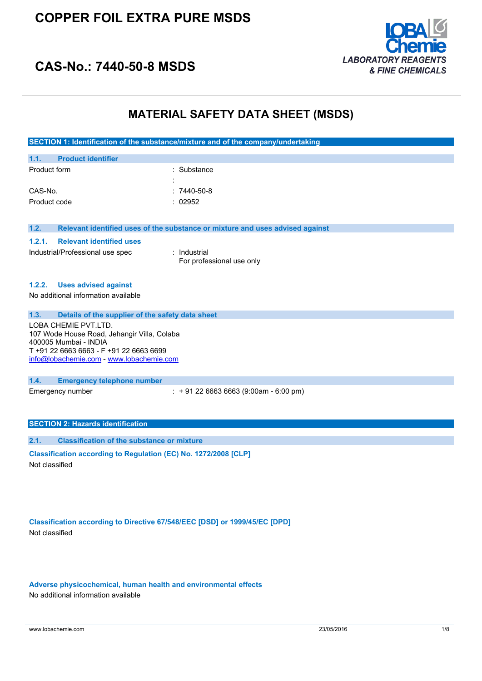

### **CAS-No.: 7440-50-8 MSDS**

#### **MATERIAL SAFETY DATA SHEET (MSDS)**

|                                                                      | SECTION 1: Identification of the substance/mixture and of the company/undertaking |
|----------------------------------------------------------------------|-----------------------------------------------------------------------------------|
| <b>Product identifier</b><br>1.1.                                    |                                                                                   |
| Product form                                                         | : Substance                                                                       |
|                                                                      |                                                                                   |
| CAS-No.                                                              | $:7440-50-8$                                                                      |
| Product code                                                         | : 02952                                                                           |
|                                                                      |                                                                                   |
|                                                                      |                                                                                   |
| 1.2.                                                                 | Relevant identified uses of the substance or mixture and uses advised against     |
| <b>Relevant identified uses</b><br>1.2.1.                            |                                                                                   |
| Industrial/Professional use spec                                     | : Industrial                                                                      |
|                                                                      | For professional use only                                                         |
|                                                                      |                                                                                   |
| <b>Uses advised against</b><br>1.2.2.                                |                                                                                   |
| No additional information available                                  |                                                                                   |
|                                                                      |                                                                                   |
| Details of the supplier of the safety data sheet<br>1.3.             |                                                                                   |
| LOBA CHEMIE PVT.LTD.                                                 |                                                                                   |
| 107 Wode House Road, Jehangir Villa, Colaba<br>400005 Mumbai - INDIA |                                                                                   |
| T +91 22 6663 6663 - F +91 22 6663 6699                              |                                                                                   |
| info@lobachemie.com - www.lobachemie.com                             |                                                                                   |
|                                                                      |                                                                                   |
| 1.4.<br><b>Emergency telephone number</b>                            |                                                                                   |
| Emergency number                                                     | $: +912266636663(9:00am - 6:00 pm)$                                               |
|                                                                      |                                                                                   |
|                                                                      |                                                                                   |
| <b>SECTION 2: Hazards identification</b>                             |                                                                                   |

**2.1. Classification of the substance or mixture**

**Classification according to Regulation (EC) No. 1272/2008 [CLP]** Not classified

**Classification according to Directive 67/548/EEC [DSD] or 1999/45/EC [DPD]** Not classified

**Adverse physicochemical, human health and environmental effects** No additional information available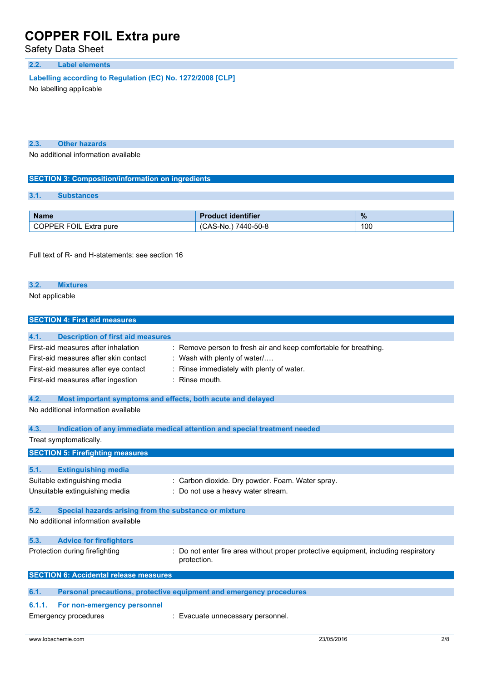Safety Data Sheet

#### **2.2. Label elements**

**Labelling according to** Regulation (EC) No. 1272/2008 [CLP]

No labelling applicable

**2.3. Other hazards**

No additional information available

#### **SECTION 3: Composition/information on ingredients**

#### **3.1. Substances**

| <b>Name</b>                         | . identifier             | %           |
|-------------------------------------|--------------------------|-------------|
| <b>FOIL</b><br>Extra pure<br>7DDED. | 7440-50-8<br>ـA.S<br>-No | 100<br>$ -$ |

Full text of R- and H-statements: see section 16

### **3.2. Mixtures**

Not applicable

| <b>SECTION 4: First aid measures</b>                                                                                                                       |                                                                                                                                                           |
|------------------------------------------------------------------------------------------------------------------------------------------------------------|-----------------------------------------------------------------------------------------------------------------------------------------------------------|
| 4.1.<br><b>Description of first aid measures</b>                                                                                                           |                                                                                                                                                           |
| First-aid measures after inhalation<br>First-aid measures after skin contact<br>First-aid measures after eye contact<br>First-aid measures after ingestion | : Remove person to fresh air and keep comfortable for breathing.<br>Wash with plenty of water/<br>Rinse immediately with plenty of water.<br>Rinse mouth. |
| 4.2.<br>Most important symptoms and effects, both acute and delayed                                                                                        |                                                                                                                                                           |
| No additional information available                                                                                                                        |                                                                                                                                                           |
| 4.3.                                                                                                                                                       | Indication of any immediate medical attention and special treatment needed                                                                                |
| Treat symptomatically.                                                                                                                                     |                                                                                                                                                           |
| <b>SECTION 5: Firefighting measures</b>                                                                                                                    |                                                                                                                                                           |
| 5.1.<br><b>Extinguishing media</b>                                                                                                                         |                                                                                                                                                           |
| Suitable extinguishing media                                                                                                                               | : Carbon dioxide. Dry powder. Foam. Water spray.                                                                                                          |
| Unsuitable extinguishing media                                                                                                                             | : Do not use a heavy water stream.                                                                                                                        |
| 5.2.<br>Special hazards arising from the substance or mixture                                                                                              |                                                                                                                                                           |
| No additional information available                                                                                                                        |                                                                                                                                                           |
| 5.3.<br><b>Advice for firefighters</b>                                                                                                                     |                                                                                                                                                           |
| Protection during firefighting                                                                                                                             | Do not enter fire area without proper protective equipment, including respiratory<br>protection.                                                          |
| <b>SECTION 6: Accidental release measures</b>                                                                                                              |                                                                                                                                                           |
| 6.1.                                                                                                                                                       | Personal precautions, protective equipment and emergency procedures                                                                                       |
| 6.1.1.<br>For non-emergency personnel<br><b>Emergency procedures</b>                                                                                       | : Evacuate unnecessary personnel.                                                                                                                         |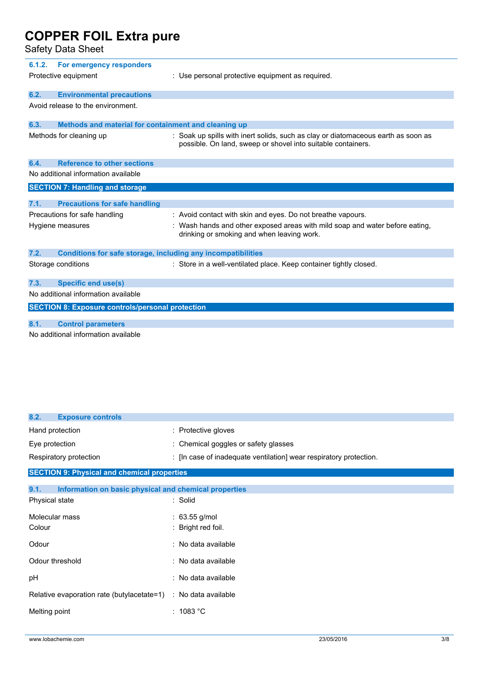Safety Data Sheet

| 6.1.2.<br>For emergency responders<br>Protective equipment           | : Use personal protective equipment as required.                                                                                                  |
|----------------------------------------------------------------------|---------------------------------------------------------------------------------------------------------------------------------------------------|
| 6.2.<br><b>Environmental precautions</b>                             |                                                                                                                                                   |
| Avoid release to the environment.                                    |                                                                                                                                                   |
| Methods and material for containment and cleaning up<br>6.3.         |                                                                                                                                                   |
| Methods for cleaning up                                              | : Soak up spills with inert solids, such as clay or diatomaceous earth as soon as<br>possible. On land, sweep or shovel into suitable containers. |
| <b>Reference to other sections</b><br>6.4.                           |                                                                                                                                                   |
| No additional information available                                  |                                                                                                                                                   |
| <b>SECTION 7: Handling and storage</b>                               |                                                                                                                                                   |
|                                                                      |                                                                                                                                                   |
| <b>Precautions for safe handling</b><br>7.1.                         |                                                                                                                                                   |
| Precautions for safe handling                                        | : Avoid contact with skin and eyes. Do not breathe vapours.                                                                                       |
| Hygiene measures                                                     | : Wash hands and other exposed areas with mild soap and water before eating.<br>drinking or smoking and when leaving work.                        |
| 7.2.<br>Conditions for safe storage, including any incompatibilities |                                                                                                                                                   |
| Storage conditions                                                   | : Store in a well-ventilated place. Keep container tightly closed.                                                                                |
| <b>Specific end use(s)</b><br>7.3.                                   |                                                                                                                                                   |
| No additional information available                                  |                                                                                                                                                   |
| <b>SECTION 8: Exposure controls/personal protection</b>              |                                                                                                                                                   |
|                                                                      |                                                                                                                                                   |
| <b>Control parameters</b><br>8.1.                                    |                                                                                                                                                   |
| No additional information available                                  |                                                                                                                                                   |

| 8.2.<br><b>Exposure controls</b>                              |                                                                    |
|---------------------------------------------------------------|--------------------------------------------------------------------|
| Hand protection                                               | : Protective gloves                                                |
| Eye protection                                                | : Chemical goggles or safety glasses                               |
| Respiratory protection                                        | : [In case of inadequate ventilation] wear respiratory protection. |
| <b>SECTION 9: Physical and chemical properties</b>            |                                                                    |
| Information on basic physical and chemical properties<br>9.1. |                                                                    |
| Physical state                                                | : Solid                                                            |
| Molecular mass                                                | $: 63.55$ g/mol                                                    |
| Colour                                                        | : Bright red foil.                                                 |
| Odour                                                         | : No data available                                                |
| Odour threshold                                               | : No data available                                                |
| рH                                                            | : No data available                                                |
| Relative evaporation rate (butylacetate=1)                    | : No data available                                                |
| Melting point                                                 | : 1083 °C                                                          |
|                                                               |                                                                    |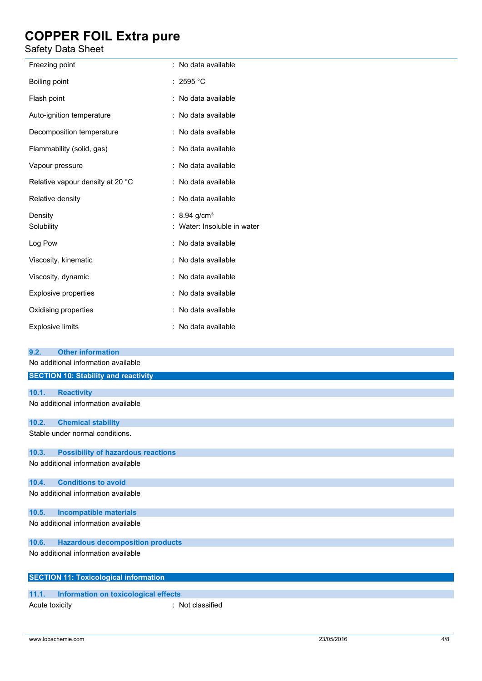Safety Data Sheet

| וסטווט סאט עסוכנ                                     |                                                       |
|------------------------------------------------------|-------------------------------------------------------|
| Freezing point                                       | : No data available                                   |
| Boiling point                                        | : 2595 °C                                             |
| Flash point                                          | : No data available                                   |
| Auto-ignition temperature                            | : No data available                                   |
| Decomposition temperature                            | : No data available                                   |
| Flammability (solid, gas)                            | : No data available                                   |
| Vapour pressure                                      | : No data available                                   |
| Relative vapour density at 20 °C                     | : No data available                                   |
| Relative density                                     | : No data available                                   |
| Density<br>Solubility                                | : 8.94 g/cm <sup>3</sup><br>Water: Insoluble in water |
| Log Pow                                              | : No data available                                   |
| Viscosity, kinematic                                 | : No data available                                   |
| Viscosity, dynamic                                   | : No data available                                   |
| Explosive properties                                 | : No data available                                   |
| Oxidising properties                                 | : No data available                                   |
| <b>Explosive limits</b>                              | : No data available                                   |
| <b>Other information</b><br>9.2.                     |                                                       |
| No additional information available                  |                                                       |
| <b>SECTION 10: Stability and reactivity</b>          |                                                       |
| 10.1.<br><b>Reactivity</b>                           |                                                       |
| No additional information available                  |                                                       |
| <b>Chemical stability</b><br>10.2.                   |                                                       |
| Stable under normal conditions.                      |                                                       |
| <b>Possibility of hazardous reactions</b><br>10.3.   |                                                       |
| No additional information available                  |                                                       |
| <b>Conditions to avoid</b><br>10.4.                  |                                                       |
| No additional information available                  |                                                       |
| <b>Incompatible materials</b><br>10.5.               |                                                       |
| No additional information available                  |                                                       |
| 10.6.<br><b>Hazardous decomposition products</b>     |                                                       |
| No additional information available                  |                                                       |
| <b>SECTION 11: Toxicological information</b>         |                                                       |
| <b>Information on toxicological effects</b><br>11.1. |                                                       |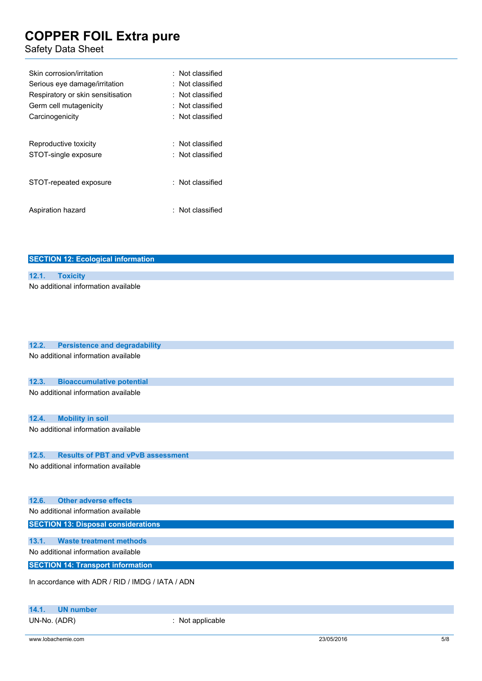#### Safety Data Sheet

| Skin corrosion/irritation<br>Serious eye damage/irritation<br>Respiratory or skin sensitisation<br>Germ cell mutagenicity<br>Carcinogenicity | $\colon$ Not classified<br>: Not classified<br>$\colon$ Not classified<br>: Not classified<br>$\colon$ Not classified |
|----------------------------------------------------------------------------------------------------------------------------------------------|-----------------------------------------------------------------------------------------------------------------------|
| Reproductive toxicity<br>STOT-single exposure                                                                                                | $\colon$ Not classified<br>: Not classified                                                                           |
| STOT-repeated exposure                                                                                                                       | : Not classified                                                                                                      |
| Aspiration hazard                                                                                                                            | $\colon$ Not classified                                                                                               |

| <b>SECTION 12: Ecological information</b>          |
|----------------------------------------------------|
|                                                    |
| 12.1.<br><b>Toxicity</b>                           |
| No additional information available                |
|                                                    |
|                                                    |
|                                                    |
|                                                    |
| 12.2.<br><b>Persistence and degradability</b>      |
| No additional information available                |
|                                                    |
|                                                    |
| 12.3.<br><b>Bioaccumulative potential</b>          |
| No additional information available                |
|                                                    |
| <b>Mobility in soil</b><br>12.4.                   |
| No additional information available                |
|                                                    |
|                                                    |
| 12.5.<br><b>Results of PBT and vPvB assessment</b> |
| No additional information available                |
|                                                    |
|                                                    |
| <b>Other adverse effects</b><br>12.6.              |
| No additional information available                |
| <b>SECTION 13: Disposal considerations</b>         |
|                                                    |
| 13.1.<br><b>Waste treatment methods</b>            |
| No additional information available                |
| <b>SECTION 14: Transport information</b>           |
|                                                    |
| In accordance with ADR / RID / IMDG / IATA / ADN   |
|                                                    |
| 14.1.<br><b>UN number</b>                          |

UN-No. (ADR) : Not applicable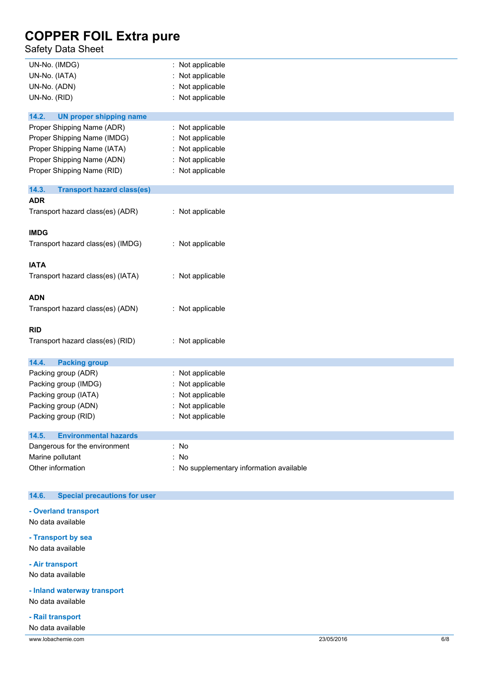Safety Data Sheet

| UN-No. (IMDG)                              | : Not applicable                         |
|--------------------------------------------|------------------------------------------|
| UN-No. (IATA)                              | Not applicable                           |
| UN-No. (ADN)                               | Not applicable                           |
| UN-No. (RID)                               | : Not applicable                         |
|                                            |                                          |
| 14.2.<br><b>UN proper shipping name</b>    |                                          |
| Proper Shipping Name (ADR)                 | : Not applicable                         |
| Proper Shipping Name (IMDG)                | : Not applicable                         |
| Proper Shipping Name (IATA)                | Not applicable                           |
| Proper Shipping Name (ADN)                 | : Not applicable                         |
| Proper Shipping Name (RID)                 | : Not applicable                         |
| 14.3.<br><b>Transport hazard class(es)</b> |                                          |
| <b>ADR</b>                                 |                                          |
| Transport hazard class(es) (ADR)           | : Not applicable                         |
|                                            |                                          |
| <b>IMDG</b>                                |                                          |
| Transport hazard class(es) (IMDG)          | : Not applicable                         |
|                                            |                                          |
| <b>IATA</b>                                |                                          |
| Transport hazard class(es) (IATA)          | : Not applicable                         |
|                                            |                                          |
| <b>ADN</b>                                 |                                          |
| Transport hazard class(es) (ADN)           | : Not applicable                         |
| <b>RID</b>                                 |                                          |
|                                            |                                          |
| Transport hazard class(es) (RID)           | : Not applicable                         |
| 14.4.<br><b>Packing group</b>              |                                          |
| Packing group (ADR)                        | : Not applicable                         |
| Packing group (IMDG)                       | Not applicable                           |
| Packing group (IATA)                       | : Not applicable                         |
| Packing group (ADN)                        | Not applicable                           |
|                                            | : Not applicable                         |
| Packing group (RID)                        |                                          |
| 14.5.<br><b>Environmental hazards</b>      |                                          |
| Dangerous for the environment              | : No                                     |
| Marine pollutant                           | : No                                     |
| Other information                          | : No supplementary information available |
|                                            |                                          |

#### **14.6. Special precautions for user**

**- Overland transport**

No data available

**- Transport by sea** No data available

**- Air transport**

No data available

**- Inland waterway transport**

No data available

**- Rail transport**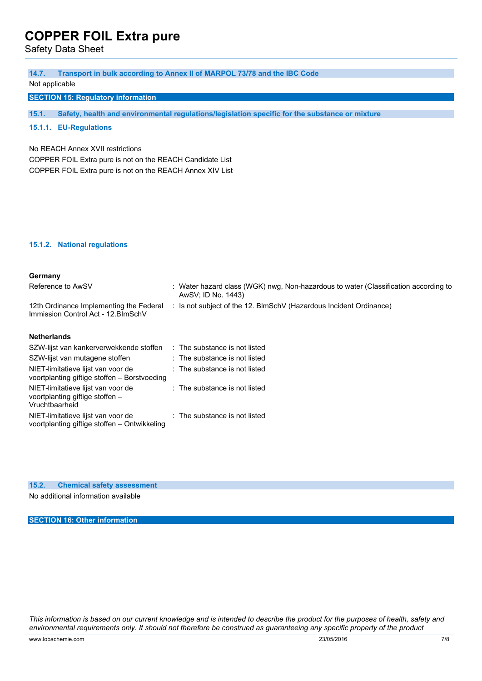Safety Data Sheet

| 14.7.                                                                          | Transport in bulk according to Annex II of MARPOL 73/78 and the IBC Code                                  |
|--------------------------------------------------------------------------------|-----------------------------------------------------------------------------------------------------------|
| Not applicable                                                                 |                                                                                                           |
| <b>SECTION 15: Regulatory information</b>                                      |                                                                                                           |
|                                                                                |                                                                                                           |
| 15.1.                                                                          | Safety, health and environmental regulations/legislation specific for the substance or mixture            |
| 15.1.1. EU-Regulations                                                         |                                                                                                           |
|                                                                                |                                                                                                           |
| No REACH Annex XVII restrictions                                               |                                                                                                           |
| COPPER FOIL Extra pure is not on the REACH Candidate List                      |                                                                                                           |
| COPPER FOIL Extra pure is not on the REACH Annex XIV List                      |                                                                                                           |
|                                                                                |                                                                                                           |
|                                                                                |                                                                                                           |
|                                                                                |                                                                                                           |
|                                                                                |                                                                                                           |
|                                                                                |                                                                                                           |
|                                                                                |                                                                                                           |
| 15.1.2. National regulations                                                   |                                                                                                           |
|                                                                                |                                                                                                           |
|                                                                                |                                                                                                           |
| Germany                                                                        |                                                                                                           |
| Reference to AwSV                                                              | : Water hazard class (WGK) nwg, Non-hazardous to water (Classification according to<br>AwSV; ID No. 1443) |
|                                                                                | Is not subject of the 12. BlmSchV (Hazardous Incident Ordinance)                                          |
| 12th Ordinance Implementing the Federal<br>Immission Control Act - 12. BlmSchV |                                                                                                           |
|                                                                                |                                                                                                           |
| <b>Netherlands</b>                                                             |                                                                                                           |
| SZW-lijst van kankerverwekkende stoffen                                        | : The substance is not listed                                                                             |
|                                                                                |                                                                                                           |
|                                                                                |                                                                                                           |
| voortplanting giftige stoffen - Borstvoeding                                   |                                                                                                           |
| NIET-limitatieve lijst van voor de                                             | : The substance is not listed                                                                             |
|                                                                                |                                                                                                           |
| voortplanting giftige stoffen -                                                |                                                                                                           |
| Vruchtbaarheid<br>NIET-limitatieve lijst van voor de                           | : The substance is not listed                                                                             |
| SZW-lijst van mutagene stoffen<br>NIET-limitatieve lijst van voor de           | : The substance is not listed<br>: The substance is not listed                                            |

**15.2. Chemical safety assessment**

No additional information available

**SECTION 16: Other information**

This information is based on our current knowledge and is intended to describe the product for the purposes of health, safety and environmental requirements only. It should not therefore be construed as guaranteeing any specific property of the product